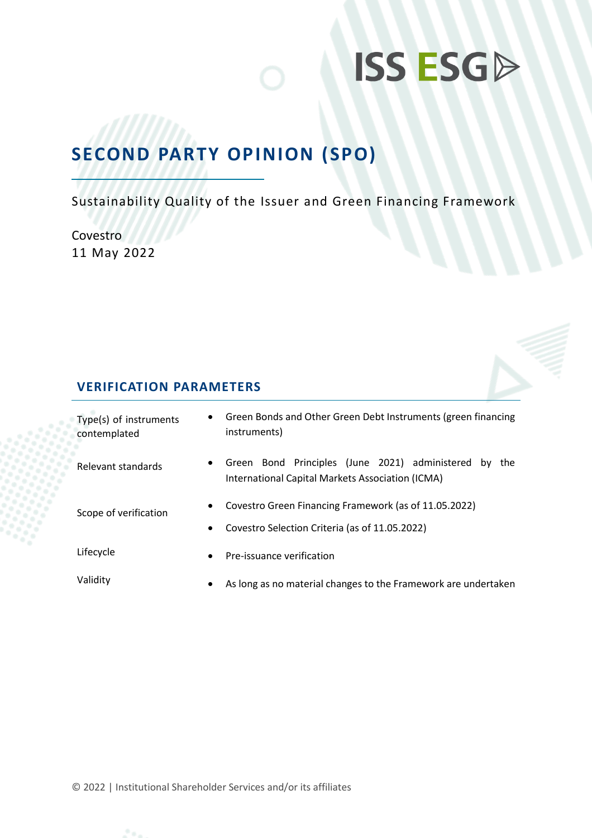# **ISS ESGP**

# **SECOND PARTY OPINION (SPO)**

Sustainability Quality of the Issuer and Green Financing Framework

Covestro 11 May 2022

# **VERIFICATION PARAMETERS**

| Type(s) of instruments<br>contemplated | $\bullet$              | Green Bonds and Other Green Debt Instruments (green financing<br>instruments)                                |  |  |
|----------------------------------------|------------------------|--------------------------------------------------------------------------------------------------------------|--|--|
| Relevant standards                     | $\bullet$              | Green Bond Principles (June 2021) administered by<br>the<br>International Capital Markets Association (ICMA) |  |  |
| Scope of verification                  | $\bullet$<br>$\bullet$ | Covestro Green Financing Framework (as of 11.05.2022)<br>Covestro Selection Criteria (as of 11.05.2022)      |  |  |
| Lifecycle                              | $\bullet$              | Pre-issuance verification                                                                                    |  |  |
| Validity                               | $\bullet$              | As long as no material changes to the Framework are undertaken                                               |  |  |

© 2022 | Institutional Shareholder Services and/or its affiliates

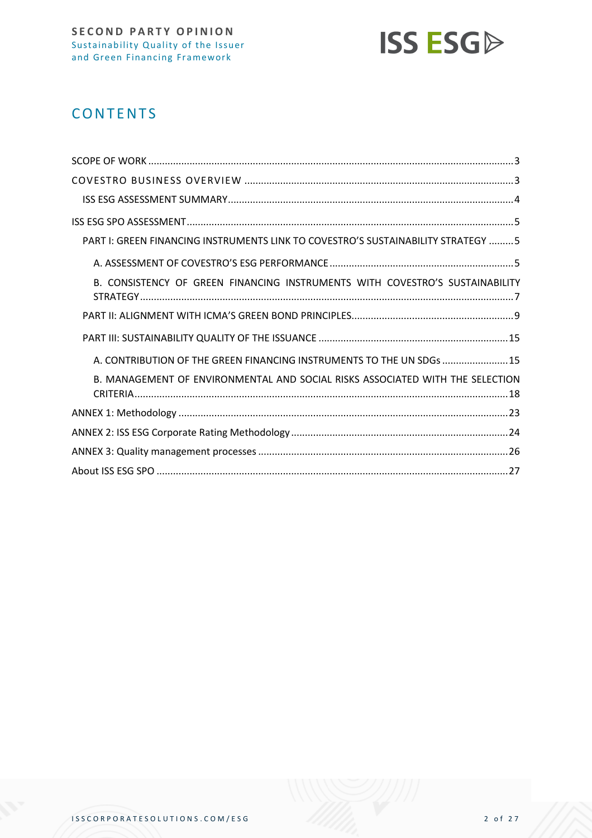

# **CONTENTS**

| PART I: GREEN FINANCING INSTRUMENTS LINK TO COVESTRO'S SUSTAINABILITY STRATEGY  5 |
|-----------------------------------------------------------------------------------|
|                                                                                   |
| B. CONSISTENCY OF GREEN FINANCING INSTRUMENTS WITH COVESTRO'S SUSTAINABILITY      |
|                                                                                   |
|                                                                                   |
| A. CONTRIBUTION OF THE GREEN FINANCING INSTRUMENTS TO THE UN SDGs  15             |
| B. MANAGEMENT OF ENVIRONMENTAL AND SOCIAL RISKS ASSOCIATED WITH THE SELECTION     |
|                                                                                   |
|                                                                                   |
|                                                                                   |
|                                                                                   |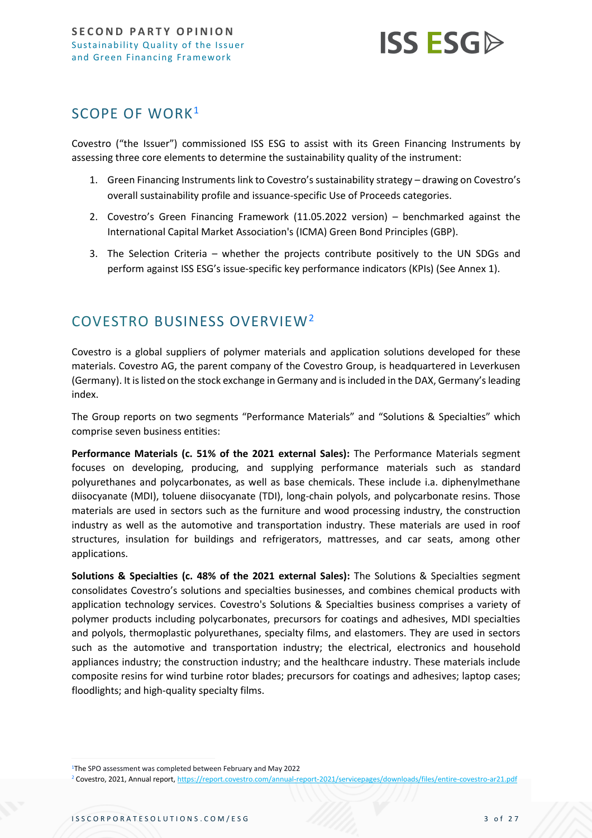

# <span id="page-2-0"></span>SCOPE OF WORK<sup>1</sup>

Covestro ("the Issuer") commissioned ISS ESG to assist with its Green Financing Instruments by assessing three core elements to determine the sustainability quality of the instrument:

- 1. Green Financing Instruments link to Covestro's sustainability strategy drawing on Covestro's overall sustainability profile and issuance-specific Use of Proceeds categories.
- 2. Covestro's Green Financing Framework (11.05.2022 version) benchmarked against the International Capital Market Association's (ICMA) Green Bond Principles (GBP).
- 3. The Selection Criteria whether the projects contribute positively to the UN SDGs and perform against ISS ESG's issue-specific key performance indicators (KPIs) (See Annex 1).

# <span id="page-2-1"></span>COVESTRO BUSINESS OVERVIEW<sup>2</sup>

Covestro is a global suppliers of polymer materials and application solutions developed for these materials. Covestro AG, the parent company of the Covestro Group, is headquartered in Leverkusen (Germany). It is listed on the stock exchange in Germany and is included in the DAX, Germany's leading index.

The Group reports on two segments "Performance Materials" and "Solutions & Specialties" which comprise seven business entities:

**Performance Materials (c. 51% of the 2021 external Sales):** The Performance Materials segment focuses on developing, producing, and supplying performance materials such as standard polyurethanes and polycarbonates, as well as base chemicals. These include i.a. diphenylmethane diisocyanate (MDI), toluene diisocyanate (TDI), long-chain polyols, and polycarbonate resins. Those materials are used in sectors such as the furniture and wood processing industry, the construction industry as well as the automotive and transportation industry. These materials are used in roof structures, insulation for buildings and refrigerators, mattresses, and car seats, among other applications.

**Solutions & Specialties (c. 48% of the 2021 external Sales):** The Solutions & Specialties segment consolidates Covestro's solutions and specialties businesses, and combines chemical products with application technology services. Covestro's Solutions & Specialties business comprises a variety of polymer products including polycarbonates, precursors for coatings and adhesives, MDI specialties and polyols, thermoplastic polyurethanes, specialty films, and elastomers. They are used in sectors such as the automotive and transportation industry; the electrical, electronics and household appliances industry; the construction industry; and the healthcare industry. These materials include composite resins for wind turbine rotor blades; precursors for coatings and adhesives; laptop cases; floodlights; and high-quality specialty films.

<sup>1</sup>The SPO assessment was completed between February and May 2022

<sup>2</sup> Covestro, 2021, Annual report[, https://report.covestro.com/annual-report-2021/servicepages/downloads/files/entire-covestro-ar21.pdf](https://report.covestro.com/annual-report-2021/servicepages/downloads/files/entire-covestro-ar21.pdf)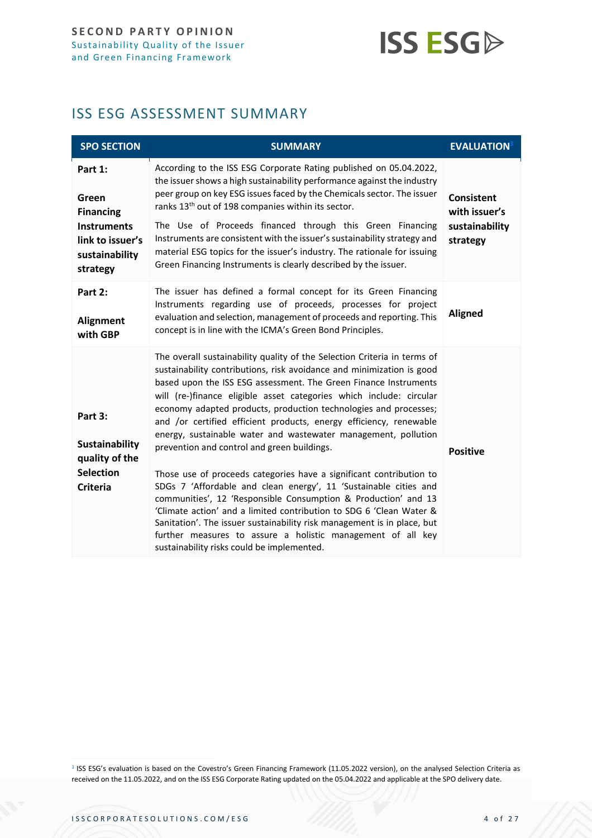# **ISS ESG**

# <span id="page-3-0"></span>ISS ESG ASSESSMENT SUMMARY

| <b>SPO SECTION</b>                                                                                           | <b>SUMMARY</b>                                                                                                                                                                                                                                                                                                                                                                                                                                                                                                                                                                                                                                                                                                                                                                                                                                                                                                                                                                                                                      | <b>EVALUATION</b> <sup>3</sup>                                   |
|--------------------------------------------------------------------------------------------------------------|-------------------------------------------------------------------------------------------------------------------------------------------------------------------------------------------------------------------------------------------------------------------------------------------------------------------------------------------------------------------------------------------------------------------------------------------------------------------------------------------------------------------------------------------------------------------------------------------------------------------------------------------------------------------------------------------------------------------------------------------------------------------------------------------------------------------------------------------------------------------------------------------------------------------------------------------------------------------------------------------------------------------------------------|------------------------------------------------------------------|
| Part 1:<br>Green<br><b>Financing</b><br><b>Instruments</b><br>link to issuer's<br>sustainability<br>strategy | According to the ISS ESG Corporate Rating published on 05.04.2022,<br>the issuer shows a high sustainability performance against the industry<br>peer group on key ESG issues faced by the Chemicals sector. The issuer<br>ranks 13 <sup>th</sup> out of 198 companies within its sector.<br>The Use of Proceeds financed through this Green Financing<br>Instruments are consistent with the issuer's sustainability strategy and<br>material ESG topics for the issuer's industry. The rationale for issuing<br>Green Financing Instruments is clearly described by the issuer.                                                                                                                                                                                                                                                                                                                                                                                                                                                   | <b>Consistent</b><br>with issuer's<br>sustainability<br>strategy |
| Part 2:<br>Alignment<br>with GBP                                                                             | The issuer has defined a formal concept for its Green Financing<br>Instruments regarding use of proceeds, processes for project<br>evaluation and selection, management of proceeds and reporting. This<br>concept is in line with the ICMA's Green Bond Principles.                                                                                                                                                                                                                                                                                                                                                                                                                                                                                                                                                                                                                                                                                                                                                                | <b>Aligned</b>                                                   |
| Part 3:<br>Sustainability<br>quality of the<br><b>Selection</b><br><b>Criteria</b>                           | The overall sustainability quality of the Selection Criteria in terms of<br>sustainability contributions, risk avoidance and minimization is good<br>based upon the ISS ESG assessment. The Green Finance Instruments<br>will (re-)finance eligible asset categories which include: circular<br>economy adapted products, production technologies and processes;<br>and /or certified efficient products, energy efficiency, renewable<br>energy, sustainable water and wastewater management, pollution<br>prevention and control and green buildings.<br>Those use of proceeds categories have a significant contribution to<br>SDGs 7 'Affordable and clean energy', 11 'Sustainable cities and<br>communities', 12 'Responsible Consumption & Production' and 13<br>'Climate action' and a limited contribution to SDG 6 'Clean Water &<br>Sanitation'. The issuer sustainability risk management is in place, but<br>further measures to assure a holistic management of all key<br>sustainability risks could be implemented. | <b>Positive</b>                                                  |

<sup>3</sup> ISS ESG's evaluation is based on the Covestro's Green Financing Framework (11.05.2022 version), on the analysed Selection Criteria as received on the 11.05.2022, and on the ISS ESG Corporate Rating updated on the 05.04.2022 and applicable at the SPO delivery date.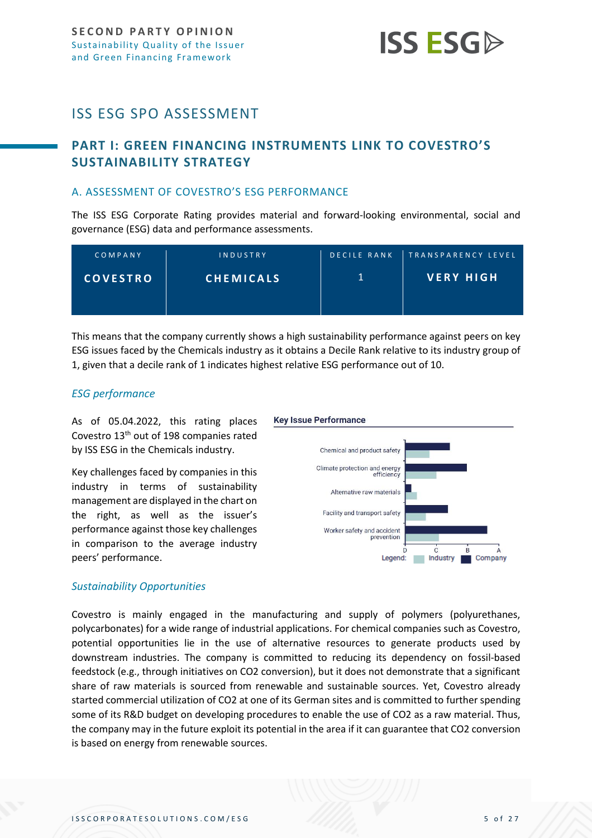

# <span id="page-4-0"></span>ISS ESG SPO ASSESSMENT

# <span id="page-4-1"></span>**PART I: GREEN FINANCING INSTRUMENTS LINK TO COVESTRO'S SUSTAINABILITY STRATEGY**

## <span id="page-4-2"></span>A. ASSESSMENT OF COVESTRO'S ESG PERFORMANCE

The ISS ESG Corporate Rating provides material and forward-looking environmental, social and governance (ESG) data and performance assessments.

| COMPANY         | INDUSTRY         | <b>IDECILE RANK</b> | TRANSPARENCY LEVEL, |
|-----------------|------------------|---------------------|---------------------|
| <b>COVESTRO</b> | <b>CHEMICALS</b> |                     | <b>VERY HIGH</b>    |

This means that the company currently shows a high sustainability performance against peers on key ESG issues faced by the Chemicals industry as it obtains a Decile Rank relative to its industry group of 1, given that a decile rank of 1 indicates highest relative ESG performance out of 10.

## *ESG performance*

As of 05.04.2022, this rating places Covestro 13<sup>th</sup> out of 198 companies rated by ISS ESG in the Chemicals industry.

Key challenges faced by companies in this industry in terms of sustainability management are displayed in the chart on the right, as well as the issuer's performance against those key challenges in comparison to the average industry peers' performance.

#### **Key Issue Performance**



#### *Sustainability Opportunities*

Covestro is mainly engaged in the manufacturing and supply of polymers (polyurethanes, polycarbonates) for a wide range of industrial applications. For chemical companies such as Covestro, potential opportunities lie in the use of alternative resources to generate products used by downstream industries. The company is committed to reducing its dependency on fossil-based feedstock (e.g., through initiatives on CO2 conversion), but it does not demonstrate that a significant share of raw materials is sourced from renewable and sustainable sources. Yet, Covestro already started commercial utilization of CO2 at one of its German sites and is committed to further spending some of its R&D budget on developing procedures to enable the use of CO2 as a raw material. Thus, the company may in the future exploit its potential in the area if it can guarantee that CO2 conversion is based on energy from renewable sources.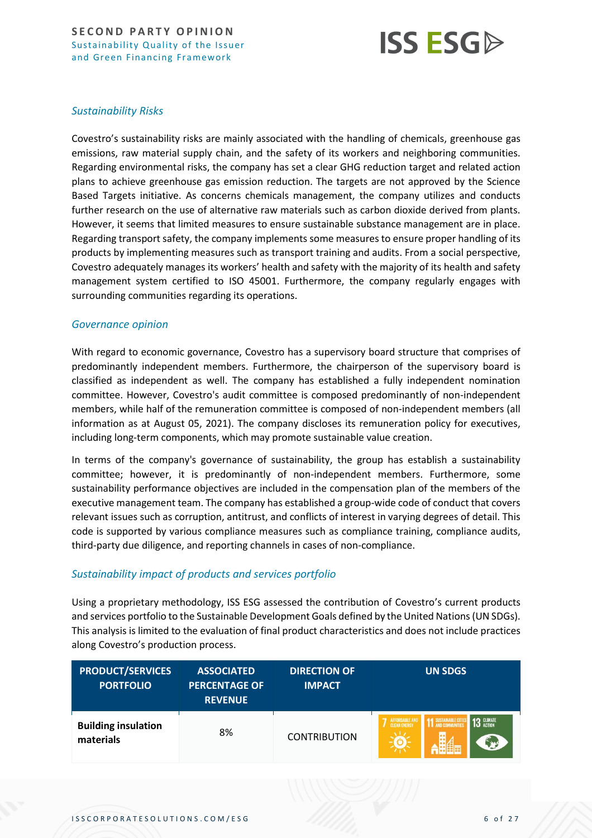

## *Sustainability Risks*

Covestro's sustainability risks are mainly associated with the handling of chemicals, greenhouse gas emissions, raw material supply chain, and the safety of its workers and neighboring communities. Regarding environmental risks, the company has set a clear GHG reduction target and related action plans to achieve greenhouse gas emission reduction. The targets are not approved by the Science Based Targets initiative. As concerns chemicals management, the company utilizes and conducts further research on the use of alternative raw materials such as carbon dioxide derived from plants. However, it seems that limited measures to ensure sustainable substance management are in place. Regarding transport safety, the company implements some measures to ensure proper handling of its products by implementing measures such as transport training and audits. From a social perspective, Covestro adequately manages its workers' health and safety with the majority of its health and safety management system certified to ISO 45001. Furthermore, the company regularly engages with surrounding communities regarding its operations.

#### *Governance opinion*

With regard to economic governance, Covestro has a supervisory board structure that comprises of predominantly independent members. Furthermore, the chairperson of the supervisory board is classified as independent as well. The company has established a fully independent nomination committee. However, Covestro's audit committee is composed predominantly of non-independent members, while half of the remuneration committee is composed of non-independent members (all information as at August 05, 2021). The company discloses its remuneration policy for executives, including long-term components, which may promote sustainable value creation.

In terms of the company's governance of sustainability, the group has establish a sustainability committee; however, it is predominantly of non-independent members. Furthermore, some sustainability performance objectives are included in the compensation plan of the members of the executive management team. The company has established a group-wide code of conduct that covers relevant issues such as corruption, antitrust, and conflicts of interest in varying degrees of detail. This code is supported by various compliance measures such as compliance training, compliance audits, third-party due diligence, and reporting channels in cases of non-compliance.

## *Sustainability impact of products and services portfolio*

Using a proprietary methodology, ISS ESG assessed the contribution of Covestro's current products and services portfolio to the Sustainable Development Goals defined by the United Nations (UN SDGs). This analysis is limited to the evaluation of final product characteristics and does not include practices along Covestro's production process.

| <b>PRODUCT/SERVICES</b><br><b>PORTFOLIO</b> | <b>ASSOCIATED</b><br><b>PERCENTAGE OF</b><br><b>REVENUE</b> | <b>DIRECTION OF</b><br><b>IMPACT</b> | <b>UN SDGS</b>                                                                                            |
|---------------------------------------------|-------------------------------------------------------------|--------------------------------------|-----------------------------------------------------------------------------------------------------------|
| <b>Building insulation</b><br>materials     | 8%                                                          | <b>CONTRIBUTION</b>                  | <b>1 SUSTAINABLE CITY</b><br><b>1 AND COMMUNITIE</b><br><b>13 GLIMATE</b><br>AFFORDABLE AND<br>m<br>فيبني |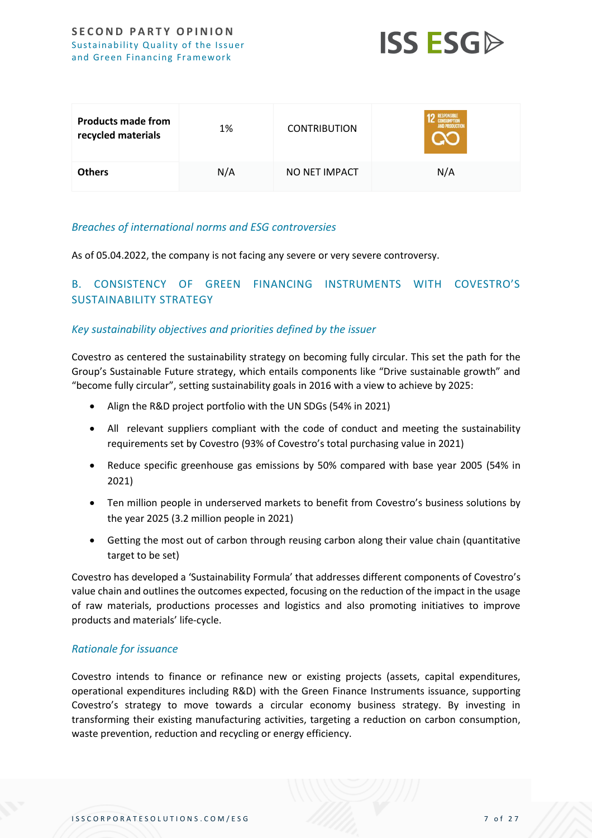

| <b>Products made from</b><br>recycled materials | 1%  | <b>CONTRIBUTION</b> | <b>RESPONSIBLE</b><br><b>AND PRODUCTION</b> |
|-------------------------------------------------|-----|---------------------|---------------------------------------------|
| <b>Others</b>                                   | N/A | NO NET IMPACT       | N/A                                         |

## *Breaches of international norms and ESG controversies*

As of 05.04.2022, the company is not facing any severe or very severe controversy.

# <span id="page-6-0"></span>B. CONSISTENCY OF GREEN FINANCING INSTRUMENTS WITH COVESTRO'S SUSTAINABILITY STRATEGY

#### *Key sustainability objectives and priorities defined by the issuer*

Covestro as centered the sustainability strategy on becoming fully circular. This set the path for the Group's Sustainable Future strategy, which entails components like "Drive sustainable growth" and "become fully circular", setting sustainability goals in 2016 with a view to achieve by 2025:

- Align the R&D project portfolio with the UN SDGs (54% in 2021)
- All relevant suppliers compliant with the code of conduct and meeting the sustainability requirements set by Covestro (93% of Covestro's total purchasing value in 2021)
- Reduce specific greenhouse gas emissions by 50% compared with base year 2005 (54% in 2021)
- Ten million people in underserved markets to benefit from Covestro's business solutions by the year 2025 (3.2 million people in 2021)
- Getting the most out of carbon through reusing carbon along their value chain (quantitative target to be set)

Covestro has developed a 'Sustainability Formula' that addresses different components of Covestro's value chain and outlines the outcomes expected, focusing on the reduction of the impact in the usage of raw materials, productions processes and logistics and also promoting initiatives to improve products and materials' life-cycle.

#### *Rationale for issuance*

Covestro intends to finance or refinance new or existing projects (assets, capital expenditures, operational expenditures including R&D) with the Green Finance Instruments issuance, supporting Covestro's strategy to move towards a circular economy business strategy. By investing in transforming their existing manufacturing activities, targeting a reduction on carbon consumption, waste prevention, reduction and recycling or energy efficiency.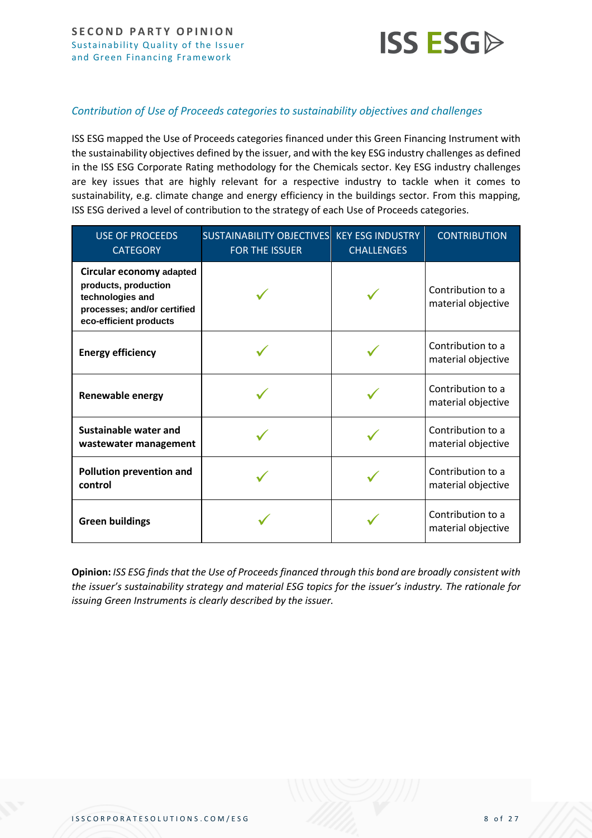

## *Contribution of Use of Proceeds categories to sustainability objectives and challenges*

ISS ESG mapped the Use of Proceeds categories financed under this Green Financing Instrument with the sustainability objectives defined by the issuer, and with the key ESG industry challenges as defined in the ISS ESG Corporate Rating methodology for the Chemicals sector. Key ESG industry challenges are key issues that are highly relevant for a respective industry to tackle when it comes to sustainability, e.g. climate change and energy efficiency in the buildings sector. From this mapping, ISS ESG derived a level of contribution to the strategy of each Use of Proceeds categories.

| <b>USE OF PROCEEDS</b><br><b>CATEGORY</b>                                                                                     | SUSTAINABILITY OBJECTIVES KEY ESG INDUSTRY<br><b>FOR THE ISSUER</b> | <b>CHALLENGES</b> | <b>CONTRIBUTION</b>                     |
|-------------------------------------------------------------------------------------------------------------------------------|---------------------------------------------------------------------|-------------------|-----------------------------------------|
| Circular economy adapted<br>products, production<br>technologies and<br>processes; and/or certified<br>eco-efficient products |                                                                     |                   | Contribution to a<br>material objective |
| <b>Energy efficiency</b>                                                                                                      |                                                                     |                   | Contribution to a<br>material objective |
| Renewable energy                                                                                                              |                                                                     |                   | Contribution to a<br>material objective |
| <b>Sustainable water and</b><br>wastewater management                                                                         |                                                                     |                   | Contribution to a<br>material objective |
| Pollution prevention and<br>control                                                                                           |                                                                     |                   | Contribution to a<br>material objective |
| <b>Green buildings</b>                                                                                                        |                                                                     |                   | Contribution to a<br>material objective |

**Opinion:** *ISS ESG finds that the Use of Proceeds financed through this bond are broadly consistent with the issuer's sustainability strategy and material ESG topics for the issuer's industry. The rationale for issuing Green Instruments is clearly described by the issuer.*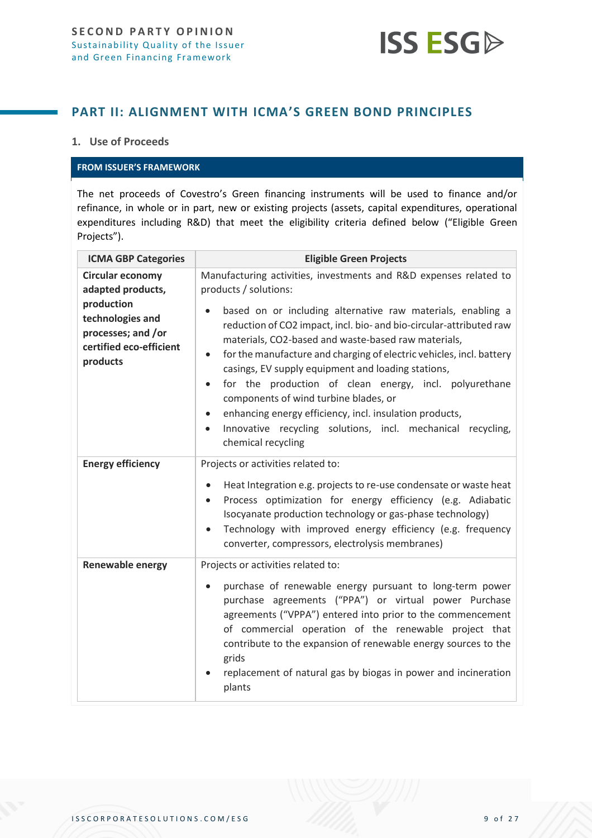

# <span id="page-8-0"></span>**PART II: ALIGNMENT WITH ICMA'S GREEN BOND PRINCIPLES**

## **1. Use of Proceeds**

#### **FROM ISSUER'S FRAMEWORK**

The net proceeds of Covestro's Green financing instruments will be used to finance and/or refinance, in whole or in part, new or existing projects (assets, capital expenditures, operational expenditures including R&D) that meet the eligibility criteria defined below ("Eligible Green Projects").

| <b>ICMA GBP Categories</b>                                                                                                                  | <b>Eligible Green Projects</b>                                                                                                                                                                                                                                                                                                                                                                                                                                                                                                                                                                                                                                                                                                            |  |  |
|---------------------------------------------------------------------------------------------------------------------------------------------|-------------------------------------------------------------------------------------------------------------------------------------------------------------------------------------------------------------------------------------------------------------------------------------------------------------------------------------------------------------------------------------------------------------------------------------------------------------------------------------------------------------------------------------------------------------------------------------------------------------------------------------------------------------------------------------------------------------------------------------------|--|--|
| <b>Circular economy</b><br>adapted products,<br>production<br>technologies and<br>processes; and /or<br>certified eco-efficient<br>products | Manufacturing activities, investments and R&D expenses related to<br>products / solutions:<br>based on or including alternative raw materials, enabling a<br>$\bullet$<br>reduction of CO2 impact, incl. bio- and bio-circular-attributed raw<br>materials, CO2-based and waste-based raw materials,<br>for the manufacture and charging of electric vehicles, incl. battery<br>$\bullet$<br>casings, EV supply equipment and loading stations,<br>for the production of clean energy, incl. polyurethane<br>$\bullet$<br>components of wind turbine blades, or<br>enhancing energy efficiency, incl. insulation products,<br>$\bullet$<br>Innovative recycling solutions, incl. mechanical recycling,<br>$\bullet$<br>chemical recycling |  |  |
| <b>Energy efficiency</b>                                                                                                                    | Projects or activities related to:<br>Heat Integration e.g. projects to re-use condensate or waste heat<br>$\bullet$<br>Process optimization for energy efficiency (e.g. Adiabatic<br>$\bullet$<br>Isocyanate production technology or gas-phase technology)<br>Technology with improved energy efficiency (e.g. frequency<br>$\bullet$<br>converter, compressors, electrolysis membranes)                                                                                                                                                                                                                                                                                                                                                |  |  |
| <b>Renewable energy</b>                                                                                                                     | Projects or activities related to:<br>purchase of renewable energy pursuant to long-term power<br>$\bullet$<br>purchase agreements ("PPA") or virtual power Purchase<br>agreements ("VPPA") entered into prior to the commencement<br>of commercial operation of the renewable project that<br>contribute to the expansion of renewable energy sources to the<br>grids<br>replacement of natural gas by biogas in power and incineration<br>plants                                                                                                                                                                                                                                                                                        |  |  |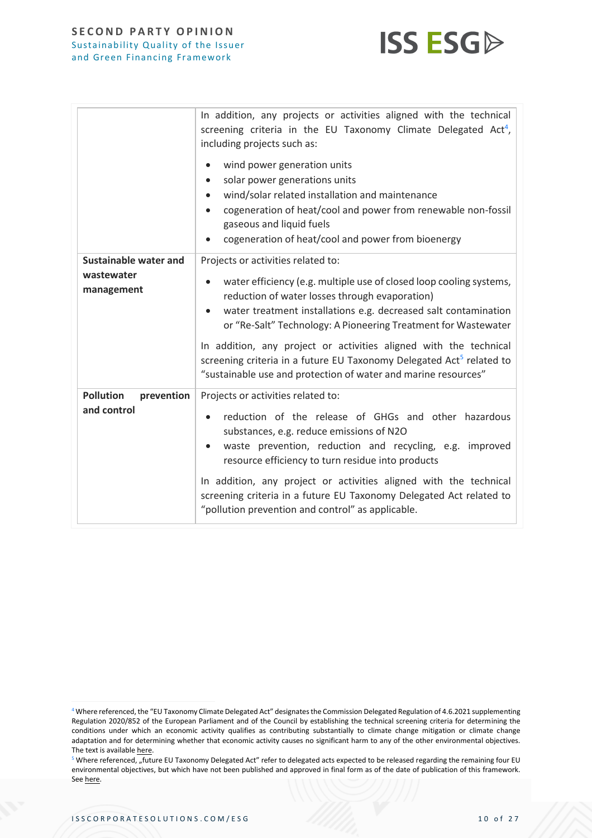

|                                                   | In addition, any projects or activities aligned with the technical<br>screening criteria in the EU Taxonomy Climate Delegated Act <sup>4</sup> ,<br>including projects such as:<br>wind power generation units<br>$\bullet$<br>solar power generations units<br>$\bullet$<br>wind/solar related installation and maintenance<br>$\bullet$<br>cogeneration of heat/cool and power from renewable non-fossil<br>$\bullet$<br>gaseous and liquid fuels<br>cogeneration of heat/cool and power from bioenergy                                |
|---------------------------------------------------|------------------------------------------------------------------------------------------------------------------------------------------------------------------------------------------------------------------------------------------------------------------------------------------------------------------------------------------------------------------------------------------------------------------------------------------------------------------------------------------------------------------------------------------|
| Sustainable water and<br>wastewater<br>management | Projects or activities related to:<br>water efficiency (e.g. multiple use of closed loop cooling systems,<br>reduction of water losses through evaporation)<br>water treatment installations e.g. decreased salt contamination<br>$\bullet$<br>or "Re-Salt" Technology: A Pioneering Treatment for Wastewater<br>In addition, any project or activities aligned with the technical<br>screening criteria in a future EU Taxonomy Delegated Act <sup>5</sup> related to<br>"sustainable use and protection of water and marine resources" |
| <b>Pollution</b><br>prevention<br>and control     | Projects or activities related to:<br>reduction of the release of GHGs and other hazardous<br>substances, e.g. reduce emissions of N2O<br>waste prevention, reduction and recycling, e.g. improved<br>$\bullet$<br>resource efficiency to turn residue into products<br>In addition, any project or activities aligned with the technical<br>screening criteria in a future EU Taxonomy Delegated Act related to<br>"pollution prevention and control" as applicable.                                                                    |

<sup>4</sup> Where referenced, the "EU Taxonomy Climate Delegated Act" designates the Commission Delegated Regulation of 4.6.2021 supplementing Regulation 2020/852 of the European Parliament and of the Council by establishing the technical screening criteria for determining the conditions under which an economic activity qualifies as contributing substantially to climate change mitigation or climate change adaptation and for determining whether that economic activity causes no significant harm to any of the other environmental objectives. The text is availabl[e here.](https://eur-lex.europa.eu/legal-content/EN/TXT/?uri=PI_COM:C(2021)2800)

<sup>&</sup>lt;sup>5</sup> Where referenced, "future EU Taxonomy Delegated Act" refer to delegated acts expected to be released regarding the remaining four EU environmental objectives, but which have not been published and approved in final form as of the date of publication of this framework. Se[e here.](https://ec.europa.eu/info/publications/210803-sustainable-finance-platform-technical-screening-criteria-taxonomy-report_en)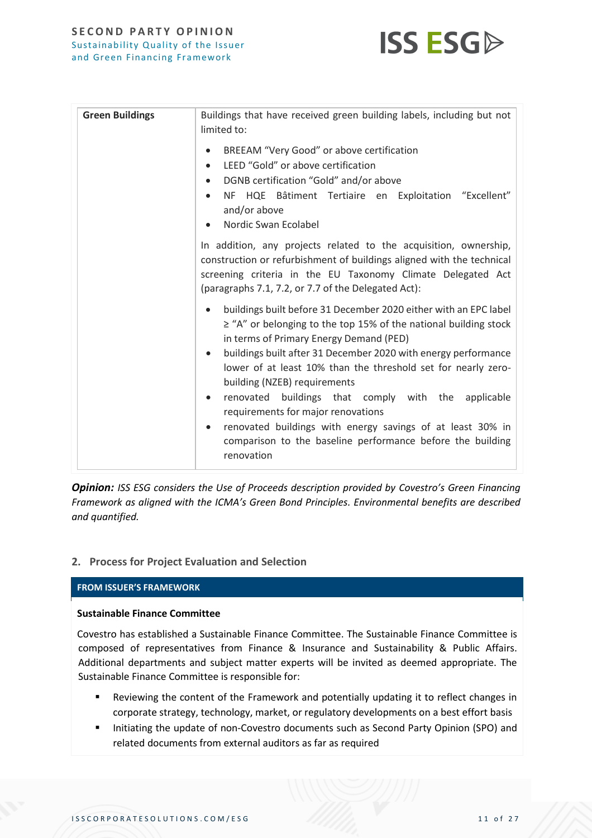

| <b>Green Buildings</b> | Buildings that have received green building labels, including but not<br>limited to:<br>BREEAM "Very Good" or above certification<br>LEED "Gold" or above certification<br>$\bullet$<br>DGNB certification "Gold" and/or above<br>$\bullet$<br>NF HQE Bâtiment Tertiaire en Exploitation "Excellent"<br>$\bullet$<br>and/or above<br>Nordic Swan Ecolabel<br>In addition, any projects related to the acquisition, ownership,<br>construction or refurbishment of buildings aligned with the technical<br>screening criteria in the EU Taxonomy Climate Delegated Act<br>(paragraphs 7.1, 7.2, or 7.7 of the Delegated Act): |
|------------------------|------------------------------------------------------------------------------------------------------------------------------------------------------------------------------------------------------------------------------------------------------------------------------------------------------------------------------------------------------------------------------------------------------------------------------------------------------------------------------------------------------------------------------------------------------------------------------------------------------------------------------|
|                        | buildings built before 31 December 2020 either with an EPC label<br>$\ge$ "A" or belonging to the top 15% of the national building stock<br>in terms of Primary Energy Demand (PED)<br>buildings built after 31 December 2020 with energy performance<br>$\bullet$<br>lower of at least 10% than the threshold set for nearly zero-<br>building (NZEB) requirements<br>renovated buildings that comply with the<br>applicable<br>$\bullet$<br>requirements for major renovations<br>renovated buildings with energy savings of at least 30% in<br>comparison to the baseline performance before the building<br>renovation   |

*Opinion: ISS ESG considers the Use of Proceeds description provided by Covestro's Green Financing Framework as aligned with the ICMA's Green Bond Principles. Environmental benefits are described and quantified.*

## **2. Process for Project Evaluation and Selection**

## **FROM ISSUER'S FRAMEWORK**

#### **Sustainable Finance Committee**

Covestro has established a Sustainable Finance Committee. The Sustainable Finance Committee is composed of representatives from Finance & Insurance and Sustainability & Public Affairs. Additional departments and subject matter experts will be invited as deemed appropriate. The Sustainable Finance Committee is responsible for:

- Reviewing the content of the Framework and potentially updating it to reflect changes in corporate strategy, technology, market, or regulatory developments on a best effort basis
- Initiating the update of non-Covestro documents such as Second Party Opinion (SPO) and related documents from external auditors as far as required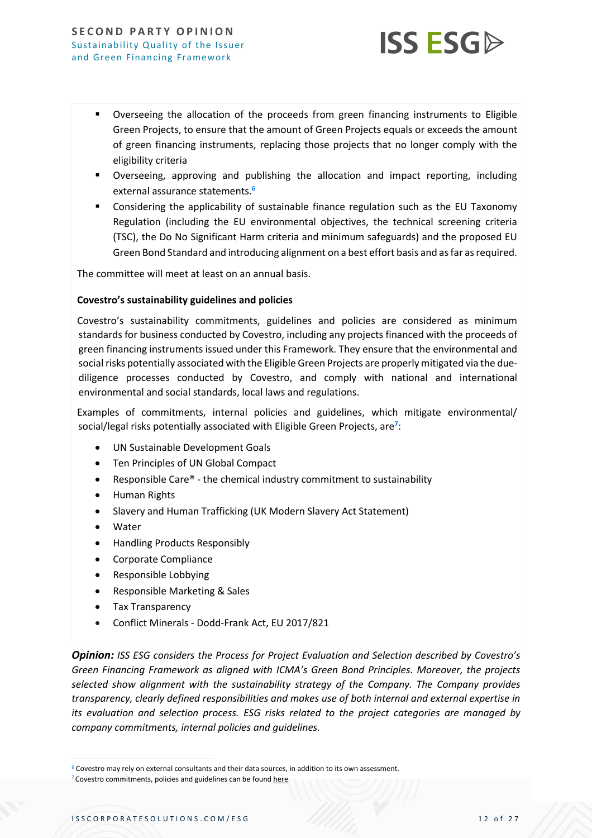

- Overseeing the allocation of the proceeds from green financing instruments to Eligible Green Projects, to ensure that the amount of Green Projects equals or exceeds the amount of green financing instruments, replacing those projects that no longer comply with the eligibility criteria
- Overseeing, approving and publishing the allocation and impact reporting, including external assurance statements.**<sup>6</sup>**
- Considering the applicability of sustainable finance regulation such as the EU Taxonomy Regulation (including the EU environmental objectives, the technical screening criteria (TSC), the Do No Significant Harm criteria and minimum safeguards) and the proposed EU Green Bond Standard and introducing alignment on a best effort basis and as far as required.

The committee will meet at least on an annual basis.

#### **Covestro's sustainability guidelines and policies**

Covestro's sustainability commitments, guidelines and policies are considered as minimum standards for business conducted by Covestro, including any projects financed with the proceeds of green financing instruments issued under this Framework. They ensure that the environmental and social risks potentially associated with the Eligible Green Projects are properly mitigated via the duediligence processes conducted by Covestro, and comply with national and international environmental and social standards, local laws and regulations.

Examples of commitments, internal policies and guidelines, which mitigate environmental/ social/legal risks potentially associated with Eligible Green Projects, are**<sup>7</sup>** :

- UN Sustainable Development Goals
- Ten Principles of UN Global Compact
- Responsible Care® the chemical industry commitment to sustainability
- Human Rights
- Slavery and Human Trafficking (UK Modern Slavery Act Statement)
- **Water**
- Handling Products Responsibly
- Corporate Compliance
- Responsible Lobbying
- Responsible Marketing & Sales
- Tax Transparency
- Conflict Minerals Dodd-Frank Act, EU 2017/821

*Opinion: ISS ESG considers the Process for Project Evaluation and Selection described by Covestro's Green Financing Framework as aligned with ICMA's Green Bond Principles. Moreover, the projects selected show alignment with the sustainability strategy of the Company. The Company provides transparency, clearly defined responsibilities and makes use of both internal and external expertise in its evaluation and selection process. ESG risks related to the project categories are managed by company commitments, internal policies and guidelines.*

<sup>6</sup> Covestro may rely on external consultants and their data sources, in addition to its own assessment.

<sup>&</sup>lt;sup>7</sup> Covestro commitments, policies and guidelines can be found [here](https://www.covestro.com/en/sustainability/documents-and-downloads/policies-and-commitments)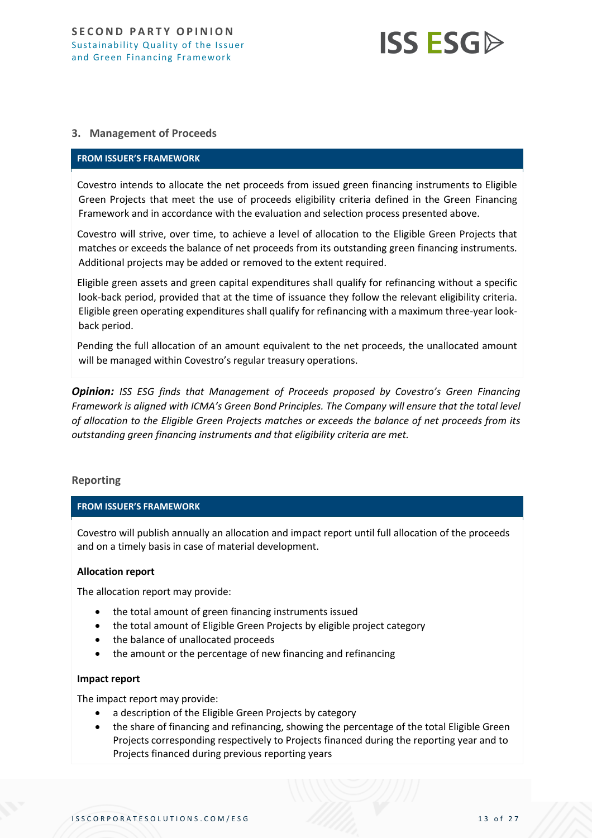

#### **3. Management of Proceeds**

#### **FROM ISSUER'S FRAMEWORK**

Covestro intends to allocate the net proceeds from issued green financing instruments to Eligible Green Projects that meet the use of proceeds eligibility criteria defined in the Green Financing Framework and in accordance with the evaluation and selection process presented above.

Covestro will strive, over time, to achieve a level of allocation to the Eligible Green Projects that matches or exceeds the balance of net proceeds from its outstanding green financing instruments. Additional projects may be added or removed to the extent required.

Eligible green assets and green capital expenditures shall qualify for refinancing without a specific look-back period, provided that at the time of issuance they follow the relevant eligibility criteria. Eligible green operating expenditures shall qualify for refinancing with a maximum three-year lookback period.

Pending the full allocation of an amount equivalent to the net proceeds, the unallocated amount will be managed within Covestro's regular treasury operations.

*Opinion: ISS ESG finds that Management of Proceeds proposed by Covestro's Green Financing Framework is aligned with ICMA's Green Bond Principles. The Company will ensure that the total level of allocation to the Eligible Green Projects matches or exceeds the balance of net proceeds from its outstanding green financing instruments and that eligibility criteria are met.*

#### **Reporting**

#### **FROM ISSUER'S FRAMEWORK**

Covestro will publish annually an allocation and impact report until full allocation of the proceeds and on a timely basis in case of material development.

#### **Allocation report**

The allocation report may provide:

- the total amount of green financing instruments issued
- the total amount of Eligible Green Projects by eligible project category
- the balance of unallocated proceeds
- the amount or the percentage of new financing and refinancing

#### **Impact report**

The impact report may provide:

- a description of the Eligible Green Projects by category
- the share of financing and refinancing, showing the percentage of the total Eligible Green Projects corresponding respectively to Projects financed during the reporting year and to Projects financed during previous reporting years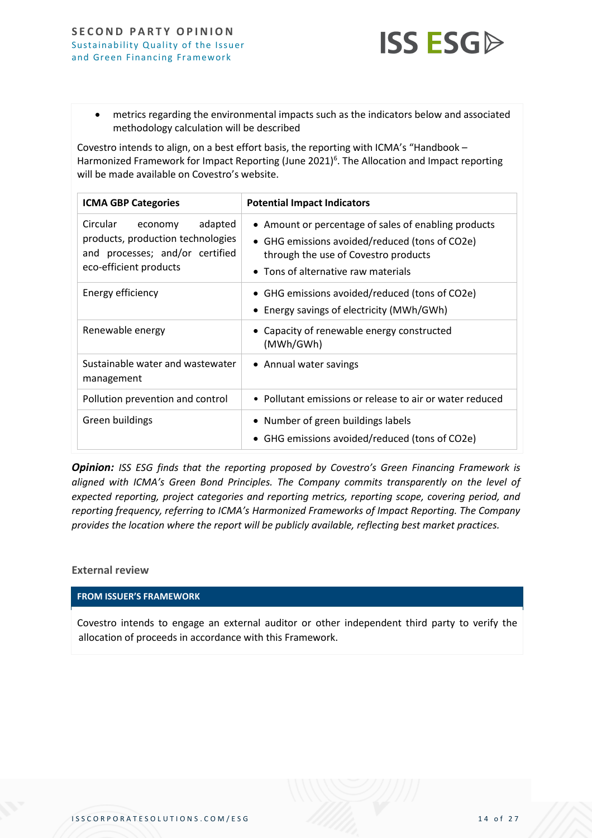

• metrics regarding the environmental impacts such as the indicators below and associated methodology calculation will be described

Covestro intends to align, on a best effort basis, the reporting with ICMA's "Handbook – Harmonized Framework for Impact Reporting (June 2021)<sup>6</sup>. The Allocation and Impact reporting will be made available on Covestro's website.

| <b>ICMA GBP Categories</b>                                                                                                       | <b>Potential Impact Indicators</b>                                                                                                                                                    |
|----------------------------------------------------------------------------------------------------------------------------------|---------------------------------------------------------------------------------------------------------------------------------------------------------------------------------------|
| Circular<br>adapted<br>economy<br>products, production technologies<br>and processes; and/or certified<br>eco-efficient products | • Amount or percentage of sales of enabling products<br>• GHG emissions avoided/reduced (tons of CO2e)<br>through the use of Covestro products<br>• Tons of alternative raw materials |
| Energy efficiency                                                                                                                | • GHG emissions avoided/reduced (tons of CO2e)<br>• Energy savings of electricity (MWh/GWh)                                                                                           |
| Renewable energy                                                                                                                 | • Capacity of renewable energy constructed<br>(MWh/GWh)                                                                                                                               |
| Sustainable water and wastewater<br>management                                                                                   | • Annual water savings                                                                                                                                                                |
| Pollution prevention and control                                                                                                 | • Pollutant emissions or release to air or water reduced                                                                                                                              |
| Green buildings                                                                                                                  | • Number of green buildings labels<br>• GHG emissions avoided/reduced (tons of CO2e)                                                                                                  |

**Opinion:** ISS ESG finds that the reporting proposed by Covestro's Green Financing Framework is *aligned with ICMA's Green Bond Principles. The Company commits transparently on the level of expected reporting, project categories and reporting metrics, reporting scope, covering period, and reporting frequency, referring to ICMA's Harmonized Frameworks of Impact Reporting. The Company provides the location where the report will be publicly available, reflecting best market practices.*

#### **External review**

# **FROM ISSUER'S FRAMEWORK**

Covestro intends to engage an external auditor or other independent third party to verify the allocation of proceeds in accordance with this Framework.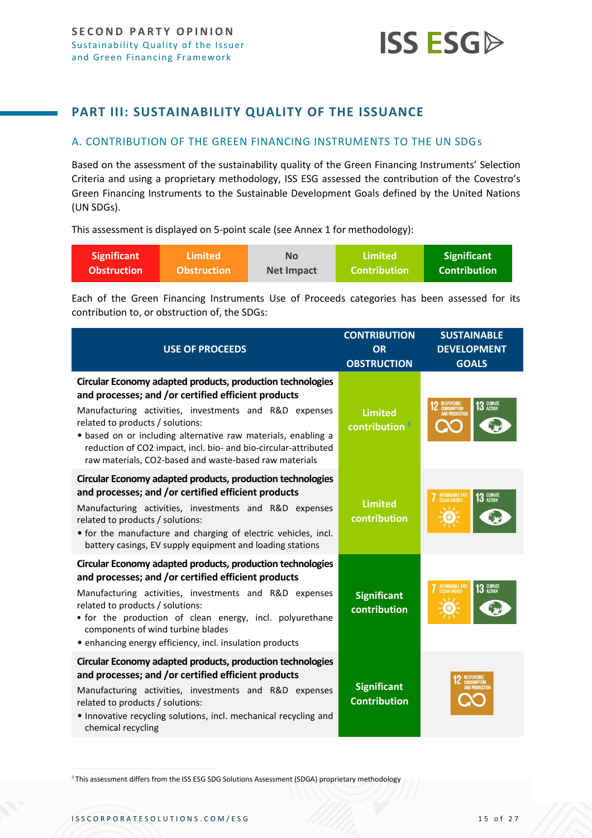

# <span id="page-14-0"></span>**PART III: SUSTAINABILITY QUALITY OF THE ISSUANCE**

## <span id="page-14-1"></span>A. CONTRIBUTION OF THE GREEN FINANCING INSTRUMENTS TO THE UN SDGs

Based on the assessment of the sustainability quality of the Green Financing Instruments' Selection Criteria and using a proprietary methodology, ISS ESG assessed the contribution of the Covestro's Green Financing Instruments to the Sustainable Development Goals defined by the United Nations (UN SDGs).

This assessment is displayed on 5-point scale (see Annex 1 for methodology):

| <b>Significant</b> | Limited            | <b>No</b>         | Limited             | <b>Significant</b>  |
|--------------------|--------------------|-------------------|---------------------|---------------------|
| <b>Obstruction</b> | <b>Obstruction</b> | <b>Net Impact</b> | <b>Contribution</b> | <b>Contribution</b> |

Each of the Green Financing Instruments Use of Proceeds categories has been assessed for its contribution to, or obstruction of, the SDGs:

| <b>USE OF PROCEEDS</b>                                                                                                                                                                                                                                                                                                                                                                                        | <b>CONTRIBUTION</b><br><b>OR</b><br><b>OBSTRUCTION</b> | <b>SUSTAINABLE</b><br><b>DEVELOPMENT</b><br><b>GOALS</b>            |
|---------------------------------------------------------------------------------------------------------------------------------------------------------------------------------------------------------------------------------------------------------------------------------------------------------------------------------------------------------------------------------------------------------------|--------------------------------------------------------|---------------------------------------------------------------------|
| Circular Economy adapted products, production technologies<br>and processes; and /or certified efficient products<br>Manufacturing activities, investments and R&D expenses<br>related to products / solutions:<br>· based on or including alternative raw materials, enabling a<br>reduction of CO2 impact, incl. bio- and bio-circular-attributed<br>raw materials, CO2-based and waste-based raw materials | <b>Limited</b><br>contribution <sup>8</sup>            | 13 GLIMATE<br><b>RESPONSIBLE<br/>CONSUMPTION<br/>AND PRODUCTION</b> |
| Circular Economy adapted products, production technologies<br>and processes; and /or certified efficient products<br>Manufacturing activities, investments and R&D expenses<br>related to products / solutions:<br>• for the manufacture and charging of electric vehicles, incl.<br>battery casings, EV supply equipment and loading stations                                                                | <b>Limited</b><br>contribution                         | AFFORDABLE AND<br>CLEAN ENERGY<br><b>13 GLIMATE</b>                 |
| Circular Economy adapted products, production technologies<br>and processes; and /or certified efficient products<br>Manufacturing activities, investments and R&D expenses<br>related to products / solutions:<br>• for the production of clean energy, incl. polyurethane<br>components of wind turbine blades<br>• enhancing energy efficiency, incl. insulation products                                  | <b>Significant</b><br>contribution                     | <b>AFFORDABLE AND</b><br>13 GLIMATE<br><b>CLEAN ENERGY</b>          |
| Circular Economy adapted products, production technologies<br>and processes; and /or certified efficient products<br>Manufacturing activities, investments and R&D expenses<br>related to products / solutions:<br>• Innovative recycling solutions, incl. mechanical recycling and<br>chemical recycling                                                                                                     | <b>Significant</b><br><b>Contribution</b>              |                                                                     |

8 This assessment differs from the ISS ESG SDG Solutions Assessment (SDGA) proprietary methodology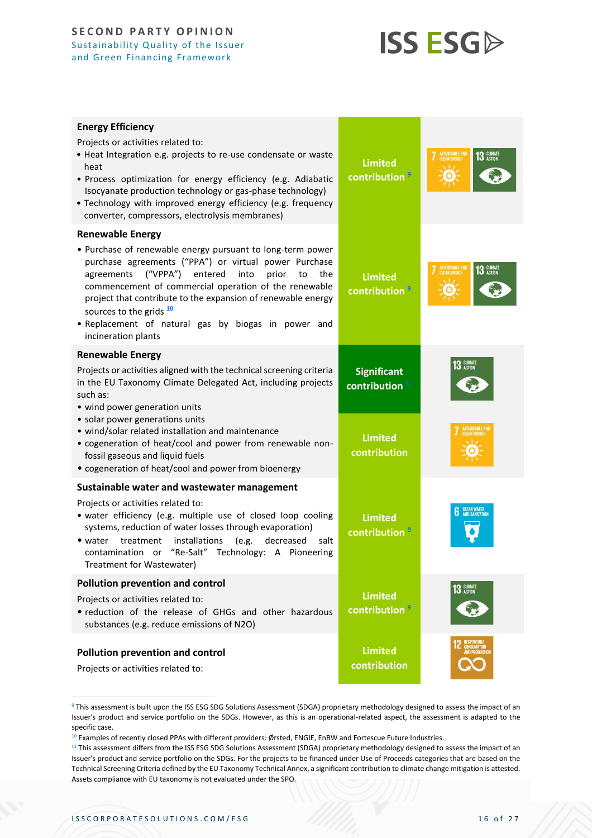<span id="page-15-1"></span><span id="page-15-0"></span>

| <b>Energy Efficiency</b><br>Projects or activities related to:<br>· Heat Integration e.g. projects to re-use condensate or waste<br>heat<br>· Process optimization for energy efficiency (e.g. Adiabatic<br>Isocyanate production technology or gas-phase technology)<br>. Technology with improved energy efficiency (e.g. frequency<br>converter, compressors, electrolysis membranes)                                 | <b>Limited</b><br>contribution <sup>9</sup>      | AFFORDABLE AND<br>CLEAN ENERGY<br><b>13 GLIMATE</b> |
|--------------------------------------------------------------------------------------------------------------------------------------------------------------------------------------------------------------------------------------------------------------------------------------------------------------------------------------------------------------------------------------------------------------------------|--------------------------------------------------|-----------------------------------------------------|
| <b>Renewable Energy</b>                                                                                                                                                                                                                                                                                                                                                                                                  |                                                  |                                                     |
| • Purchase of renewable energy pursuant to long-term power<br>purchase agreements ("PPA") or virtual power Purchase<br>entered<br>("VPPA")<br>into<br>prior<br>the<br>agreements<br>to<br>commencement of commercial operation of the renewable<br>project that contribute to the expansion of renewable energy<br>sources to the grids 10<br>. Replacement of natural gas by biogas in power and<br>incineration plants | <b>Limited</b><br>contribution <sup>9</sup>      | 13 GLIMATE                                          |
| <b>Renewable Energy</b>                                                                                                                                                                                                                                                                                                                                                                                                  |                                                  |                                                     |
| Projects or activities aligned with the technical screening criteria<br>in the EU Taxonomy Climate Delegated Act, including projects<br>such as:<br>• wind power generation units                                                                                                                                                                                                                                        | <b>Significant</b><br>contribution <sup>11</sup> | <b>13 GLIMATE</b>                                   |
| • solar power generations units<br>· wind/solar related installation and maintenance<br>• cogeneration of heat/cool and power from renewable non-<br>fossil gaseous and liquid fuels<br>• cogeneration of heat/cool and power from bioenergy                                                                                                                                                                             | <b>Limited</b><br>contribution                   |                                                     |
| Sustainable water and wastewater management                                                                                                                                                                                                                                                                                                                                                                              |                                                  |                                                     |
| Projects or activities related to:<br>· water efficiency (e.g. multiple use of closed loop cooling<br>systems, reduction of water losses through evaporation)<br>installations<br>(e.g.<br>decreased<br>treatment<br>• water<br>salt<br>contamination or "Re-Salt" Technology: A Pioneering<br>Treatment for Wastewater)                                                                                                 | <b>Limited</b><br>contribution <sup>5</sup>      | <b>CLEAN WATER</b><br>AND SANITATION                |
| <b>Pollution prevention and control</b>                                                                                                                                                                                                                                                                                                                                                                                  |                                                  | 13 GLIMATE                                          |
| Projects or activities related to:<br>• reduction of the release of GHGs and other hazardous<br>substances (e.g. reduce emissions of N2O)                                                                                                                                                                                                                                                                                | <b>Limited</b><br>contribution <sup>9</sup>      |                                                     |
|                                                                                                                                                                                                                                                                                                                                                                                                                          | <b>Limited</b>                                   |                                                     |
| Pollution prevention and control<br>Projects or activities related to:                                                                                                                                                                                                                                                                                                                                                   | contribution                                     |                                                     |

<sup>9</sup> This assessment is built upon the ISS ESG SDG Solutions Assessment (SDGA) proprietary methodology designed to assess the impact of an Issuer's product and service portfolio on the SDGs. However, as this is an operational-related aspect, the assessment is adapted to the specific case.

<sup>10</sup> Examples of recently closed PPAs with different providers: [Ørsted,](https://orsted.com/en/our-business/power-purchase-agreements/case-studies/covestro-case-study) [ENGIE,](https://gems.engie.com/business-news/covestro-and-engie-sign-supply-agreement-for-green-power-in-belgium/) [EnBW](https://www.enbw.com/company/press/covestro-and-enbw-conclude-ppa-for-solarpark-weesow-willmersdorf.html) and [Fortescue Future Industries.](https://www.covestro.com/press/fortescue-future-industries-and-covestro-announce-plans-to-enter-a-long-term-green-hydrogen-supply-agreement/)

<sup>&</sup>lt;sup>11</sup> This assessment differs from the ISS ESG SDG Solutions Assessment (SDGA) proprietary methodology designed to assess the impact of an Issuer's product and service portfolio on the SDGs. For the projects to be financed under Use of Proceeds categories that are based on the Technical Screening Criteria defined by the EU Taxonomy Technical Annex, a significant contribution to climate change mitigation is attested. Assets compliance with EU taxonomy is not evaluated under the SPO.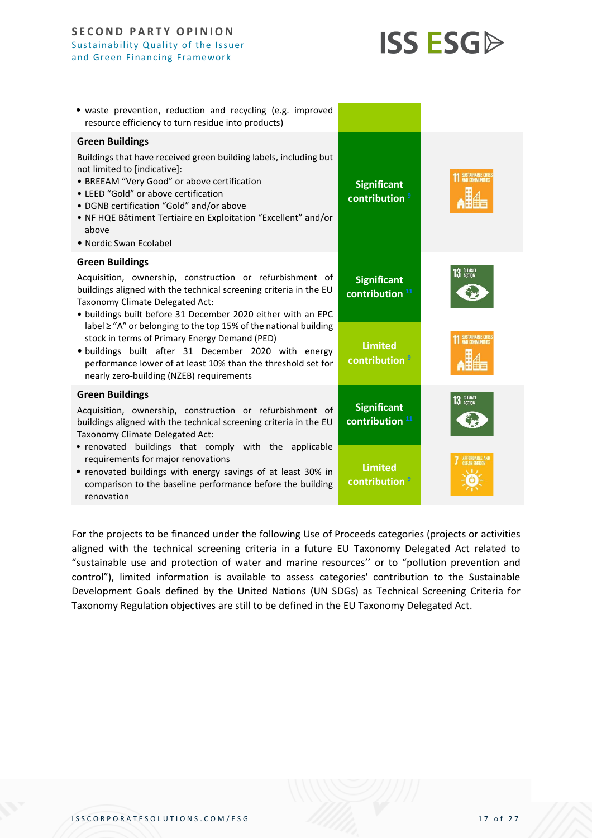

| · waste prevention, reduction and recycling (e.g. improved<br>resource efficiency to turn residue into products)                                                                                                                                                                                                                                                                                                                                                                                                                                    |                                                  |                    |
|-----------------------------------------------------------------------------------------------------------------------------------------------------------------------------------------------------------------------------------------------------------------------------------------------------------------------------------------------------------------------------------------------------------------------------------------------------------------------------------------------------------------------------------------------------|--------------------------------------------------|--------------------|
| <b>Green Buildings</b><br>Buildings that have received green building labels, including but<br>not limited to [indicative]:<br>• BREEAM "Very Good" or above certification<br>• LEED "Gold" or above certification<br>• DGNB certification "Gold" and/or above<br>• NF HQE Bâtiment Tertiaire en Exploitation "Excellent" and/or<br>above<br>• Nordic Swan Ecolabel                                                                                                                                                                                 | <b>Significant</b><br>contribution <sup>9</sup>  | SUSTAINABLE CITIES |
| <b>Green Buildings</b><br>Acquisition, ownership, construction or refurbishment of<br>buildings aligned with the technical screening criteria in the EU<br>Taxonomy Climate Delegated Act:<br>• buildings built before 31 December 2020 either with an EPC<br>label ≥ "A" or belonging to the top 15% of the national building<br>stock in terms of Primary Energy Demand (PED)<br>· buildings built after 31 December 2020 with energy<br>performance lower of at least 10% than the threshold set for<br>nearly zero-building (NZEB) requirements | <b>Significant</b><br>contribution <sup>11</sup> | 13 GLIMATE         |
|                                                                                                                                                                                                                                                                                                                                                                                                                                                                                                                                                     | <b>Limited</b><br>contribution <sup>9</sup>      | SUSTAINABLE CITIE  |
| <b>Green Buildings</b><br>Acquisition, ownership, construction or refurbishment of<br>buildings aligned with the technical screening criteria in the EU<br>Taxonomy Climate Delegated Act:                                                                                                                                                                                                                                                                                                                                                          | <b>Significant</b><br>contribution <sup>11</sup> | 13 GLIMATE         |
| • renovated buildings that comply with the applicable<br>requirements for major renovations<br>• renovated buildings with energy savings of at least 30% in<br>comparison to the baseline performance before the building<br>renovation                                                                                                                                                                                                                                                                                                             | <b>Limited</b><br>contribution <sup>1</sup>      |                    |

For the projects to be financed under the following Use of Proceeds categories (projects or activities aligned with the technical screening criteria in a future EU Taxonomy Delegated Act related to "sustainable use and protection of water and marine resources'' or to "pollution prevention and control"), limited information is available to assess categories' contribution to the Sustainable Development Goals defined by the United Nations (UN SDGs) as Technical Screening Criteria for Taxonomy Regulation objectives are still to be defined in the EU Taxonomy Delegated Act.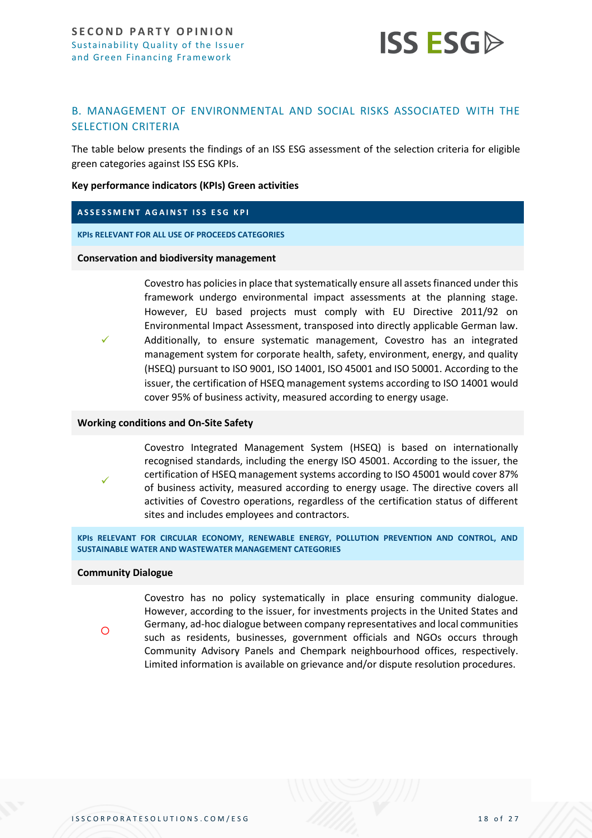

# <span id="page-17-0"></span>B. MANAGEMENT OF ENVIRONMENTAL AND SOCIAL RISKS ASSOCIATED WITH THE SELECTION CRITERIA

The table below presents the findings of an ISS ESG assessment of the selection criteria for eligible green categories against ISS ESG KPIs.

#### **Key performance indicators (KPIs) Green activities**

#### **ASSESSMENT AGAINST ISS ESG KPI**

**KPIs RELEVANT FOR ALL USE OF PROCEEDS CATEGORIES**

#### **Conservation and biodiversity management**

Covestro has policies in place that systematically ensure all assets financed under this framework undergo environmental impact assessments at the planning stage. However, EU based projects must comply with EU Directive 2011/92 on Environmental Impact Assessment, transposed into directly applicable German law. Additionally, to ensure systematic management, Covestro has an integrated management system for corporate health, safety, environment, energy, and quality (HSEQ) pursuant to ISO 9001, ISO 14001, ISO 45001 and ISO 50001. According to the issuer, the certification of HSEQ management systems according to ISO 14001 would cover 95% of business activity, measured according to energy usage.

#### **Working conditions and On-Site Safety**

Covestro Integrated Management System (HSEQ) is based on internationally recognised standards, including the energy ISO 45001. According to the issuer, the certification of HSEQ management systems according to ISO 45001 would cover 87% of business activity, measured according to energy usage. The directive covers all activities of Covestro operations, regardless of the certification status of different sites and includes employees and contractors.

**KPIs RELEVANT FOR CIRCULAR ECONOMY, RENEWABLE ENERGY, POLLUTION PREVENTION AND CONTROL, AND SUSTAINABLE WATER AND WASTEWATER MANAGEMENT CATEGORIES**

#### **Community Dialogue**

✓

✓

 $\circ$ 

Covestro has no policy systematically in place ensuring community dialogue. However, according to the issuer, for investments projects in the United States and Germany, ad-hoc dialogue between company representatives and local communities such as residents, businesses, government officials and NGOs occurs through Community Advisory Panels and Chempark neighbourhood offices, respectively. Limited information is available on grievance and/or dispute resolution procedures.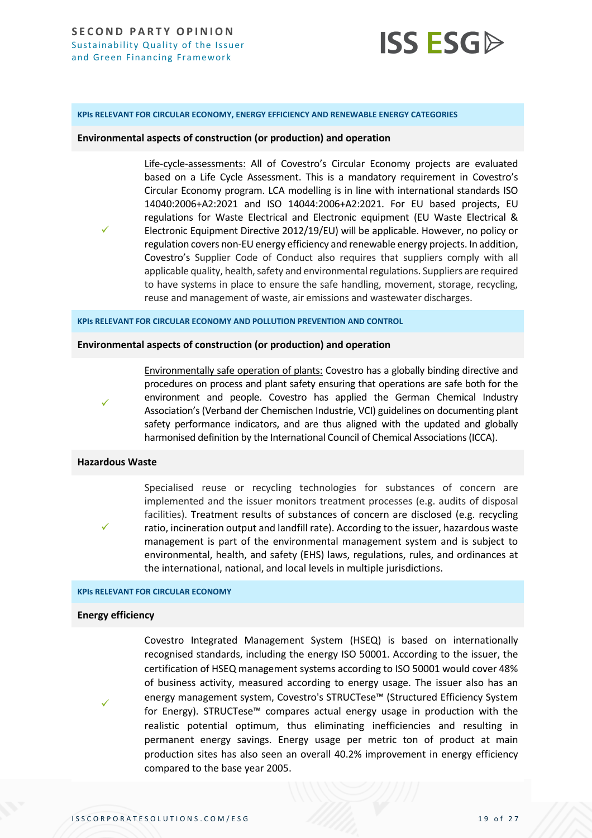

**KPIs RELEVANT FOR CIRCULAR ECONOMY, ENERGY EFFICIENCY AND RENEWABLE ENERGY CATEGORIES**

**Environmental aspects of construction (or production) and operation**

Life-cycle-assessments: All of Covestro's Circular Economy projects are evaluated based on a Life Cycle Assessment. This is a mandatory requirement in Covestro's Circular Economy program. LCA modelling is in line with international standards ISO 14040:2006+A2:2021 and ISO 14044:2006+A2:2021. For EU based projects, EU regulations for Waste Electrical and Electronic equipment (EU Waste Electrical & Electronic Equipment Directive 2012/19/EU) will be applicable. However, no policy or regulation covers non-EU energy efficiency and renewable energy projects. In addition, Covestro's Supplier Code of Conduct also requires that suppliers comply with all applicable quality, health, safety and environmental regulations. Suppliers are required to have systems in place to ensure the safe handling, movement, storage, recycling, reuse and management of waste, air emissions and wastewater discharges.

**KPIs RELEVANT FOR CIRCULAR ECONOMY AND POLLUTION PREVENTION AND CONTROL**

#### **Environmental aspects of construction (or production) and operation**

✓

✓

Environmentally safe operation of plants: Covestro has a globally binding directive and procedures on process and plant safety ensuring that operations are safe both for the environment and people. Covestro has applied the German Chemical Industry Association's (Verband der Chemischen Industrie, VCI) guidelines on documenting plant safety performance indicators, and are thus aligned with the updated and globally harmonised definition by the International Council of Chemical Associations (ICCA).

#### **Hazardous Waste**

✓

Specialised reuse or recycling technologies for substances of concern are implemented and the issuer monitors treatment processes (e.g. audits of disposal facilities). Treatment results of substances of concern are disclosed (e.g. recycling ratio, incineration output and landfill rate). According to the issuer, hazardous waste management is part of the environmental management system and is subject to environmental, health, and safety (EHS) laws, regulations, rules, and ordinances at the international, national, and local levels in multiple jurisdictions.

#### **KPIs RELEVANT FOR CIRCULAR ECONOMY**

#### **Energy efficiency**

✓

Covestro Integrated Management System (HSEQ) is based on internationally recognised standards, including the energy ISO 50001. According to the issuer, the certification of HSEQ management systems according to ISO 50001 would cover 48% of business activity, measured according to energy usage. The issuer also has an energy management system, Covestro's STRUCTese™ (Structured Efficiency System for Energy). STRUCTese™ compares actual energy usage in production with the realistic potential optimum, thus eliminating inefficiencies and resulting in permanent energy savings. Energy usage per metric ton of product at main production sites has also seen an overall 40.2% improvement in energy efficiency compared to the base year 2005.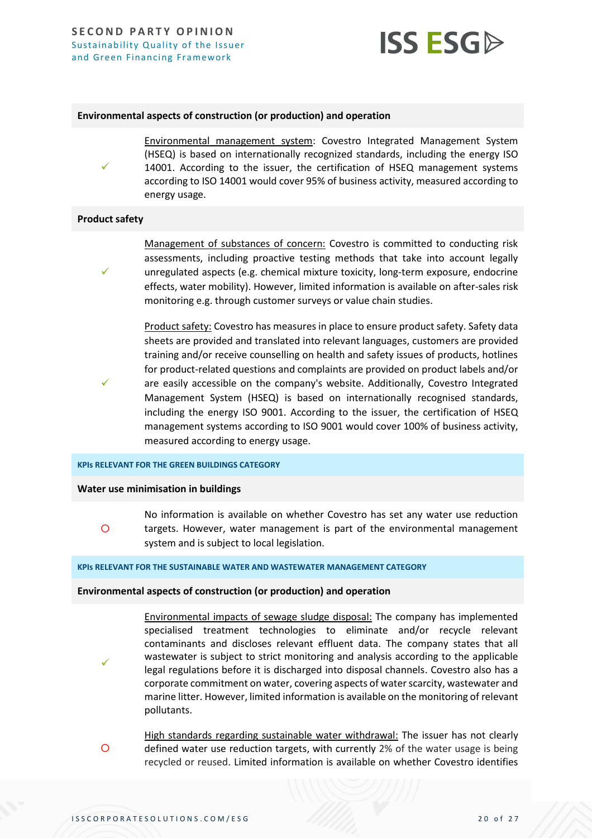

#### **Environmental aspects of construction (or production) and operation**

Environmental management system: Covestro Integrated Management System (HSEQ) is based on internationally recognized standards, including the energy ISO 14001. According to the issuer, the certification of HSEQ management systems according to ISO 14001 would cover 95% of business activity, measured according to energy usage.

#### **Product safety**

✓

✓

✓

✓

Management of substances of concern: Covestro is committed to conducting risk assessments, including proactive testing methods that take into account legally unregulated aspects (e.g. chemical mixture toxicity, long-term exposure, endocrine effects, water mobility). However, limited information is available on after-sales risk monitoring e.g. through customer surveys or value chain studies.

Product safety: Covestro has measures in place to ensure product safety. Safety data sheets are provided and translated into relevant languages, customers are provided training and/or receive counselling on health and safety issues of products, hotlines for product-related questions and complaints are provided on product labels and/or are easily accessible on the company's website. Additionally, Covestro Integrated Management System (HSEQ) is based on internationally recognised standards, including the energy ISO 9001. According to the issuer, the certification of HSEQ management systems according to ISO 9001 would cover 100% of business activity, measured according to energy usage.

#### **KPIs RELEVANT FOR THE GREEN BUILDINGS CATEGORY**

#### **Water use minimisation in buildings**

 $\circ$ No information is available on whether Covestro has set any water use reduction targets. However, water management is part of the environmental management system and is subject to local legislation.

#### **KPIs RELEVANT FOR THE SUSTAINABLE WATER AND WASTEWATER MANAGEMENT CATEGORY**

#### **Environmental aspects of construction (or production) and operation**

Environmental impacts of sewage sludge disposal: The company has implemented specialised treatment technologies to eliminate and/or recycle relevant contaminants and discloses relevant effluent data. The company states that all wastewater is subject to strict monitoring and analysis according to the applicable legal regulations before it is discharged into disposal channels. Covestro also has a corporate commitment on water, covering aspects of water scarcity, wastewater and marine litter. However, limited information is available on the monitoring of relevant pollutants.

 $\overline{O}$ High standards regarding sustainable water withdrawal: The issuer has not clearly defined water use reduction targets, with currently 2% of the water usage is being recycled or reused. Limited information is available on whether Covestro identifies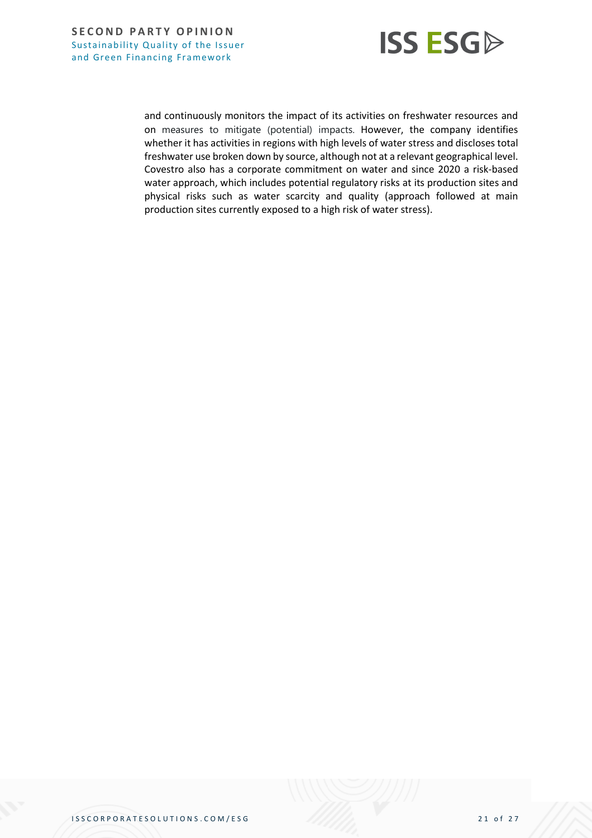

and continuously monitors the impact of its activities on freshwater resources and on measures to mitigate (potential) impacts. However, the company identifies whether it has activities in regions with high levels of water stress and discloses total freshwater use broken down by source, although not at a relevant geographical level. Covestro also has a corporate commitment on water and since 2020 a risk-based water approach, which includes potential regulatory risks at its production sites and physical risks such as water scarcity and quality (approach followed at main production sites currently exposed to a high risk of water stress).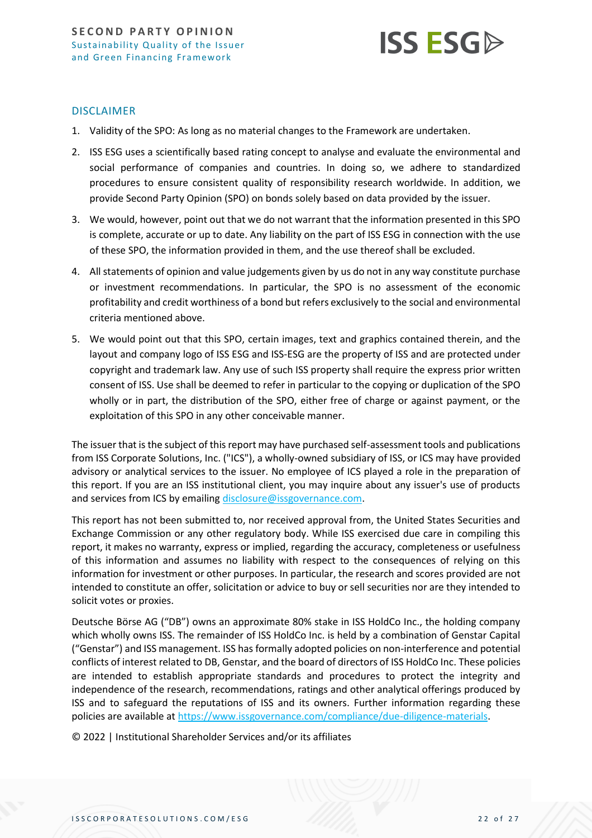

#### DISCLAIMER

- 1. Validity of the SPO: As long as no material changes to the Framework are undertaken.
- 2. ISS ESG uses a scientifically based rating concept to analyse and evaluate the environmental and social performance of companies and countries. In doing so, we adhere to standardized procedures to ensure consistent quality of responsibility research worldwide. In addition, we provide Second Party Opinion (SPO) on bonds solely based on data provided by the issuer.
- 3. We would, however, point out that we do not warrant that the information presented in this SPO is complete, accurate or up to date. Any liability on the part of ISS ESG in connection with the use of these SPO, the information provided in them, and the use thereof shall be excluded.
- 4. All statements of opinion and value judgements given by us do not in any way constitute purchase or investment recommendations. In particular, the SPO is no assessment of the economic profitability and credit worthiness of a bond but refers exclusively to the social and environmental criteria mentioned above.
- 5. We would point out that this SPO, certain images, text and graphics contained therein, and the layout and company logo of ISS ESG and ISS-ESG are the property of ISS and are protected under copyright and trademark law. Any use of such ISS property shall require the express prior written consent of ISS. Use shall be deemed to refer in particular to the copying or duplication of the SPO wholly or in part, the distribution of the SPO, either free of charge or against payment, or the exploitation of this SPO in any other conceivable manner.

The issuer that is the subject of this report may have purchased self-assessment tools and publications from ISS Corporate Solutions, Inc. ("ICS"), a wholly-owned subsidiary of ISS, or ICS may have provided advisory or analytical services to the issuer. No employee of ICS played a role in the preparation of this report. If you are an ISS institutional client, you may inquire about any issuer's use of products and services from ICS by emailin[g disclosure@issgovernance.com.](mailto:disclosure@issgovernance.com)

This report has not been submitted to, nor received approval from, the United States Securities and Exchange Commission or any other regulatory body. While ISS exercised due care in compiling this report, it makes no warranty, express or implied, regarding the accuracy, completeness or usefulness of this information and assumes no liability with respect to the consequences of relying on this information for investment or other purposes. In particular, the research and scores provided are not intended to constitute an offer, solicitation or advice to buy or sell securities nor are they intended to solicit votes or proxies.

Deutsche Börse AG ("DB") owns an approximate 80% stake in ISS HoldCo Inc., the holding company which wholly owns ISS. The remainder of ISS HoldCo Inc. is held by a combination of Genstar Capital ("Genstar") and ISS management. ISS has formally adopted policies on non-interference and potential conflicts of interest related to DB, Genstar, and the board of directors of ISS HoldCo Inc. These policies are intended to establish appropriate standards and procedures to protect the integrity and independence of the research, recommendations, ratings and other analytical offerings produced by ISS and to safeguard the reputations of ISS and its owners. Further information regarding these policies are available a[t https://www.issgovernance.com/compliance/due-diligence-materials.](https://www.issgovernance.com/compliance/due-diligence-materials)

© 2022 | Institutional Shareholder Services and/or its affiliates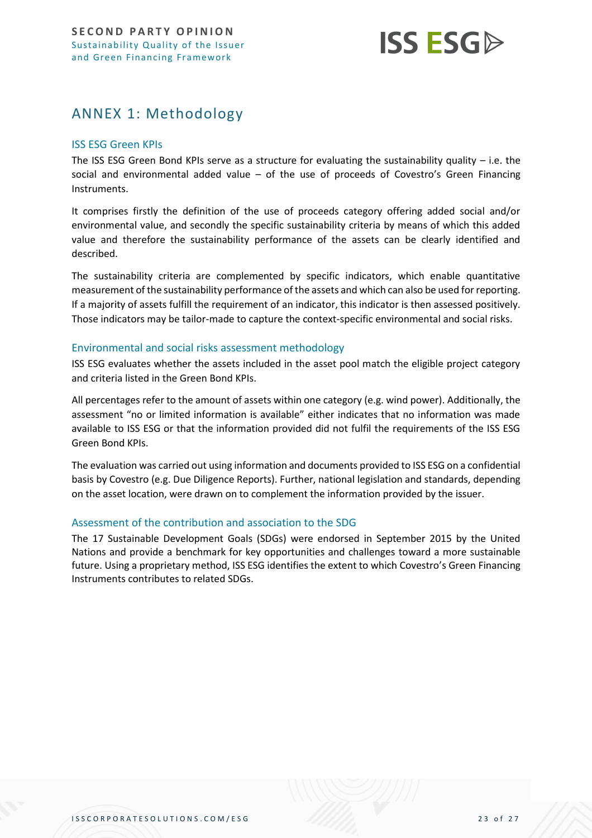

# <span id="page-22-0"></span>ANNEX 1: Methodology

## ISS ESG Green KPIs

The ISS ESG Green Bond KPIs serve as a structure for evaluating the sustainability quality  $-$  i.e. the social and environmental added value – of the use of proceeds of Covestro's Green Financing Instruments.

It comprises firstly the definition of the use of proceeds category offering added social and/or environmental value, and secondly the specific sustainability criteria by means of which this added value and therefore the sustainability performance of the assets can be clearly identified and described.

The sustainability criteria are complemented by specific indicators, which enable quantitative measurement of the sustainability performance of the assets and which can also be used for reporting. If a majority of assets fulfill the requirement of an indicator, this indicator is then assessed positively. Those indicators may be tailor-made to capture the context-specific environmental and social risks.

#### Environmental and social risks assessment methodology

ISS ESG evaluates whether the assets included in the asset pool match the eligible project category and criteria listed in the Green Bond KPIs.

All percentages refer to the amount of assets within one category (e.g. wind power). Additionally, the assessment "no or limited information is available" either indicates that no information was made available to ISS ESG or that the information provided did not fulfil the requirements of the ISS ESG Green Bond KPIs.

The evaluation was carried out using information and documents provided to ISS ESG on a confidential basis by Covestro (e.g. Due Diligence Reports). Further, national legislation and standards, depending on the asset location, were drawn on to complement the information provided by the issuer.

#### Assessment of the contribution and association to the SDG

The 17 Sustainable Development Goals (SDGs) were endorsed in September 2015 by the United Nations and provide a benchmark for key opportunities and challenges toward a more sustainable future. Using a proprietary method, ISS ESG identifies the extent to which Covestro's Green Financing Instruments contributes to related SDGs.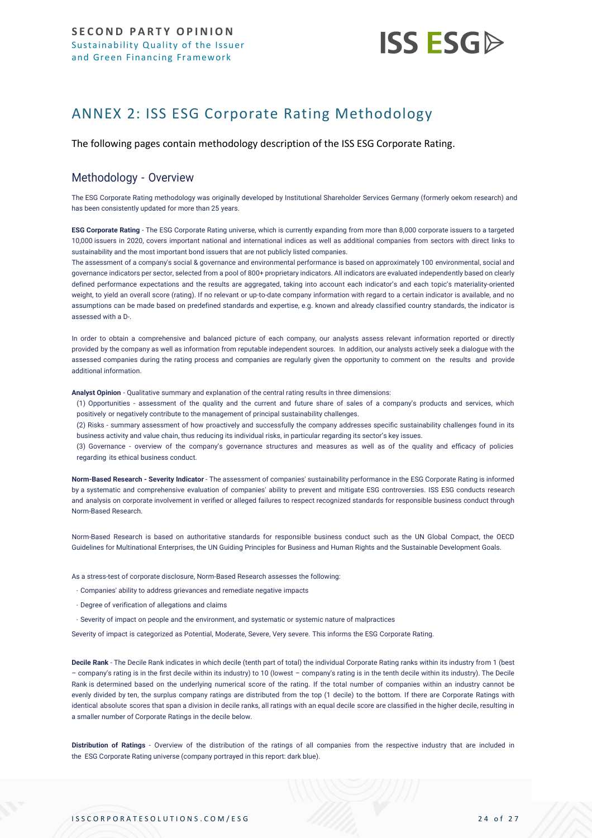

# <span id="page-23-0"></span>ANNEX 2: ISS ESG Corporate Rating Methodology

The following pages contain methodology description of the ISS ESG Corporate Rating.

## Methodology - Overview

The ESG Corporate Rating methodology was originally developed by Institutional Shareholder Services Germany (formerly oekom research) and has been consistently updated for more than 25 years.

**ESG Corporate Rating** - The ESG Corporate Rating universe, which is currently expanding from more than 8,000 corporate issuers to a targeted 10,000 issuers in 2020, covers important national and international indices as well as additional companies from sectors with direct links to sustainability and the most important bond issuers that are not publicly listed companies.

The assessment of a company's social & governance and environmental performance is based on approximately 100 environmental, social and governance indicators per sector, selected from a pool of 800+ proprietary indicators. All indicators are evaluated independently based on clearly defined performance expectations and the results are aggregated, taking into account each indicator's and each topic's materiality-oriented weight, to yield an overall score (rating). If no relevant or up-to-date company information with regard to a certain indicator is available, and no assumptions can be made based on predefined standards and expertise, e.g. known and already classified country standards, the indicator is assessed with a D-.

In order to obtain a comprehensive and balanced picture of each company, our analysts assess relevant information reported or directly provided by the company as well as information from reputable independent sources. In addition, our analysts actively seek a dialogue with the assessed companies during the rating process and companies are regularly given the opportunity to comment on the results and provide additional information.

**Analyst Opinion** - Qualitative summary and explanation of the central rating results in three dimensions:

(1) Opportunities - assessment of the quality and the current and future share of sales of a company's products and services, which positively or negatively contribute to the management of principal sustainability challenges.

(2) Risks - summary assessment of how proactively and successfully the company addresses specific sustainability challenges found in its business activity and value chain, thus reducing its individual risks, in particular regarding its sector's key issues.

(3) Governance - overview of the company's governance structures and measures as well as of the quality and efficacy of policies regarding its ethical business conduct.

**Norm-Based Research - Severity Indicator** - The assessment of companies' sustainability performance in the ESG Corporate Rating is informed by a systematic and comprehensive evaluation of companies' ability to prevent and mitigate ESG controversies. ISS ESG conducts research and analysis on corporate involvement in verified or al[leged failures to respect recognized standards for responsible business conduct through](https://www.issgovernance.com/esg/screening/esg-screening-solutions/#nbr_techdoc_download)  [Norm-Based](https://www.issgovernance.com/esg/screening/esg-screening-solutions/#nbr_techdoc_download) Research.

Norm-Based Research is based on authoritative standards for responsible business conduct such as the UN Global Compact, the OECD Guidelines for Multinational Enterprises, the UN Guiding Principles for Business and Human Rights and the Sustainable Development Goals.

As a stress-test of corporate disclosure, Norm-Based Research assesses the following:

- Companies' ability to address grievances and remediate negative impacts
- Degree of verification of allegations and claims
- Severity of impact on people and the environment, and systematic or systemic nature of malpractices

Severity of impact is categorized as Potential, Moderate, Severe, Very severe. This informs the ESG Corporate Rating.

**Decile Rank** - The Decile Rank indicates in which decile (tenth part of total) the individual Corporate Rating ranks within its industry from 1 (best – company's rating is in the first decile within its industry) to 10 (lowest – company's rating is in the tenth decile within its industry). The Decile Rank is determined based on the underlying numerical score of the rating. If the total number of companies within an industry cannot be evenly divided by ten, the surplus company ratings are distributed from the top (1 decile) to the bottom. If there are Corporate Ratings with identical absolute scores that span a division in decile ranks, all ratings with an equal decile score are classified in the higher decile, resulting in a smaller number of Corporate Ratings in the decile below.

**Distribution of Ratings** - Overview of the distribution of the ratings of all companies from the respective industry that are included in the ESG Corporate Rating universe (company portrayed in this report: dark blue).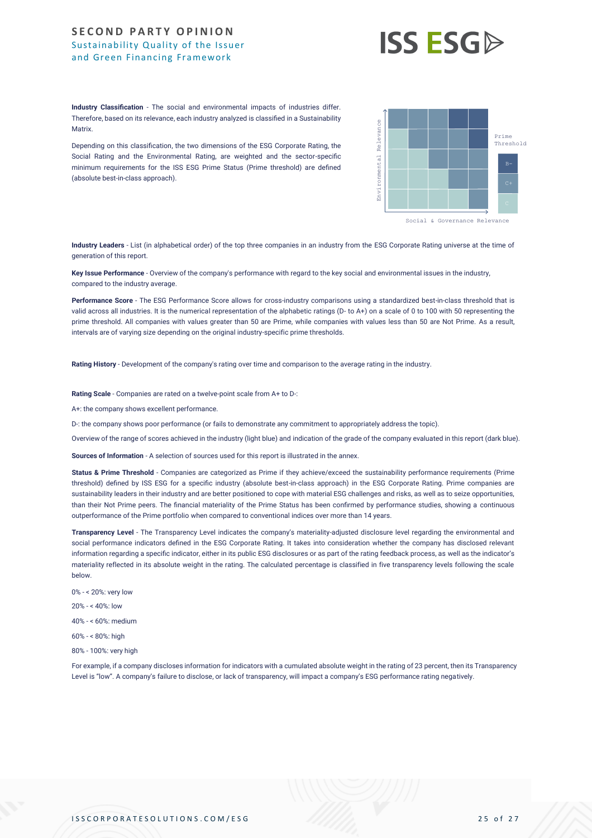# **ISS ESGD**

**Industry Classification** - The social and environmental impacts of industries differ. Therefore, based on its relevance, each industry analyzed is classified in a Sustainability **Matrix** 

Depending on this classification, the two dimensions of the ESG Corporate Rating, the Social Rating and the Environmental Rating, are weighted and the sector-specific minimum requirements for the ISS ESG Prime Status (Prime threshold) are defined (absolute best-in-class approach).



**Industry Leaders** - List (in alphabetical order) of the top three companies in an industry from the ESG Corporate Rating universe at the time of generation of this report.

**Key Issue Performance** - Overview of the company's performance with regard to the key social and environmental issues in the industry, compared to the industry average.

**Performance Score** - The ESG Performance Score allows for cross-industry comparisons using a standardized best-in-class threshold that is valid across all industries. It is the numerical representation of the alphabetic ratings (D- to A+) on a scale of 0 to 100 with 50 representing the prime threshold. All companies with values greater than 50 are Prime, while companies with values less than 50 are Not Prime. As a result, intervals are of varying size depending on the original industry-specific prime thresholds.

**Rating History** - Development of the company's rating over time and comparison to the average rating in the industry.

**Rating Scale** - Companies are rated on a twelve-point scale from A+ to D-:

A+: the company shows excellent performance.

D-: the company shows poor performance (or fails to demonstrate any commitment to appropriately address the topic).

Overview of the range of scores achieved in the industry (light blue) and indication of the grade of the company evaluated in this report (dark blue).

**Sources of Information** - A selection of sources used for this report is illustrated in the annex.

Status & Prime Threshold - Companies are categorized as Prime if they achieve/exceed the sustainability performance requirements (Prime threshold) defined by ISS ESG for a specific industry (absolute best-in-class approach) in the ESG Corporate Rating. Prime companies are sustainability leaders in their industry and are better positioned to cope with material ESG challenges and risks, as well as to seize opportunities, than their Not Prime peers. The financial materiality of the Prime Status has been confirmed by performance studies, showing a continuous outperformance of the Prime portfolio when compared to conventional indices over more than 14 years. Metric. The metric is a consideration, the has dimensions of the ball Corporate limits, the<br>Acoustic metrics of transparence in Religion as weighted in or the association of the same of the metrics of the same properties o

**Transparency Level** - The Transparency Level indicates the company's materiality-adjusted disclosure level regarding the environmental and social performance indicators defined in the ESG Corporate Rating. It takes into consideration whether the company has disclosed relevant information regarding a specific indicator, either in its public ESG disclosures or as part of the rating feedback process, as well as the indicator's materiality reflected in its absolute weight in the rating. The calculated percentage is classified in five transparency levels following the scale below.

- 0% < 20%: very low
- 20% < 40%: low

40% - < 60%: medium

- 60% < 80%: high
- 80% 100%: very high

For example, if a company discloses information for indicators with a cumulated absolute weight in the rating of 23 percent, then its Transparency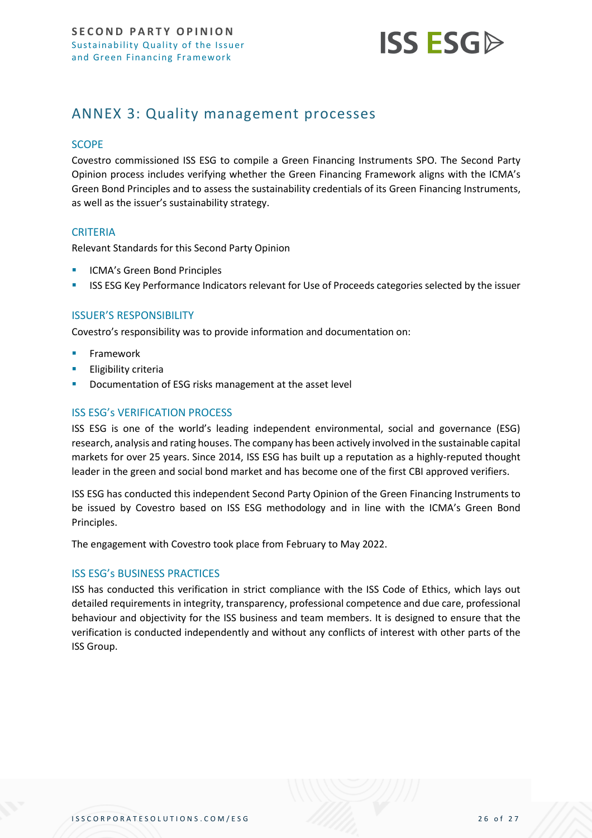

# <span id="page-25-0"></span>ANNEX 3: Quality management processes

#### **SCOPE**

Covestro commissioned ISS ESG to compile a Green Financing Instruments SPO. The Second Party Opinion process includes verifying whether the Green Financing Framework aligns with the ICMA's Green Bond Principles and to assess the sustainability credentials of its Green Financing Instruments, as well as the issuer's sustainability strategy.

#### **CRITERIA**

Relevant Standards for this Second Party Opinion

- ICMA's Green Bond Principles
- **ISS ESG Key Performance Indicators relevant for Use of Proceeds categories selected by the issuer**

#### ISSUER'S RESPONSIBILITY

Covestro's responsibility was to provide information and documentation on:

- **Framework**
- **Eligibility criteria**
- Documentation of ESG risks management at the asset level

## ISS ESG's VERIFICATION PROCESS

ISS ESG is one of the world's leading independent environmental, social and governance (ESG) research, analysis and rating houses. The company has been actively involved in the sustainable capital markets for over 25 years. Since 2014, ISS ESG has built up a reputation as a highly-reputed thought leader in the green and social bond market and has become one of the first CBI approved verifiers.

ISS ESG has conducted this independent Second Party Opinion of the Green Financing Instruments to be issued by Covestro based on ISS ESG methodology and in line with the ICMA's Green Bond Principles.

The engagement with Covestro took place from February to May 2022.

#### ISS ESG's BUSINESS PRACTICES

ISS has conducted this verification in strict compliance with the ISS Code of Ethics, which lays out detailed requirements in integrity, transparency, professional competence and due care, professional behaviour and objectivity for the ISS business and team members. It is designed to ensure that the verification is conducted independently and without any conflicts of interest with other parts of the ISS Group.